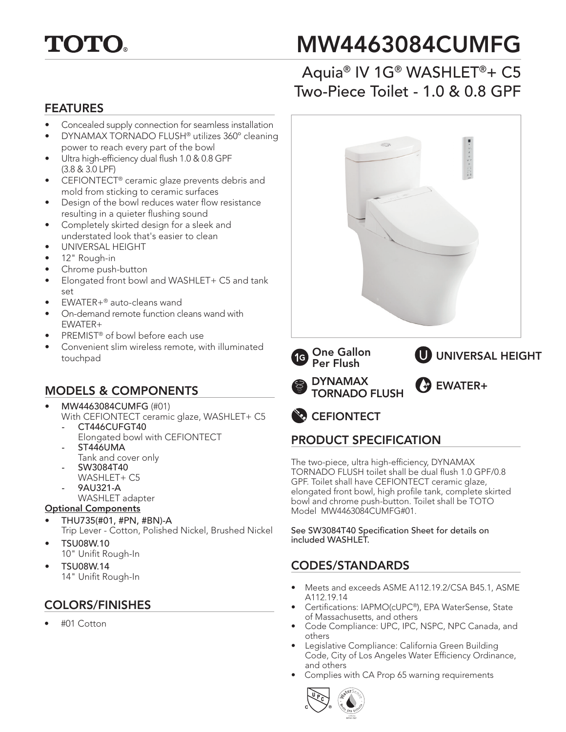

# MW4463084CUMFG

# Aquia® IV 1G® WASHLET®+ C5 Two-Piece Toilet - 1.0 & 0.8 GPF

#### FEATURES

- Concealed supply connection for seamless installation
- DYNAMAX TORNADO FLUSH® utilizes 360º cleaning power to reach every part of the bowl
- Ultra high-efficiency dual flush 1.0 & 0.8 GPF (3.8 & 3.0 LPF)
- CEFIONTECT® ceramic glaze prevents debris and mold from sticking to ceramic surfaces
- Design of the bowl reduces water flow resistance resulting in a quieter flushing sound
- Completely skirted design for a sleek and understated look that's easier to clean
- UNIVERSAL HEIGHT
- 12" Rough-in
- Chrome push-button
- Elongated front bowl and WASHLET+ C5 and tank set
- EWATER+® auto-cleans wand
- On-demand remote function cleans wand with EWATER+
- PREMIST® of bowl before each use
- Convenient slim wireless remote, with illuminated touchpad

## MODELS & COMPONENTS

- MW4463084CUMFG (#01) With CEFIONTECT ceramic glaze, WASHLET+ C5
	- CT446CUFGT40
	- Elongated bowl with CEFIONTECT *-* ST446UMA
	- Tank and cover only
	- SW3084T40
		- WASHLET+ C5
	- 9AU321-A
		- WASHLET adapter

#### Optional Components

- THU735(#01, #PN, #BN)-A Trip Lever - Cotton, Polished Nickel, Brushed Nickel
- TSU08W.10 10" Unifit Rough-In
- TSU08W.14
	- 14" Unifit Rough-In

## COLORS/FINISHES

• #01 Cotton



## PRODUCT SPECIFICATION

The two-piece, ultra high-efficiency, DYNAMAX TORNADO FLUSH toilet shall be dual flush 1.0 GPF/0.8 GPF. Toilet shall have CEFIONTECT ceramic glaze, elongated front bowl, high profile tank, complete skirted bowl and chrome push-button. Toilet shall be TOTO Model MW4463084CUMFG#01.

See SW3084T40 Specification Sheet for details on included WASHLET.

## CODES/STANDARDS

- Meets and exceeds ASME A112.19.2/CSA B45.1, ASME A112.19.14
- Certifications: IAPMO(cUPC®), EPA WaterSense, State of Massachusetts, and others
- Code Compliance: UPC, IPC, NSPC, NPC Canada, and others
- Legislative Compliance: California Green Building Code, City of Los Angeles Water Efficiency Ordinance, and others
- Complies with CA Prop 65 warning requirements